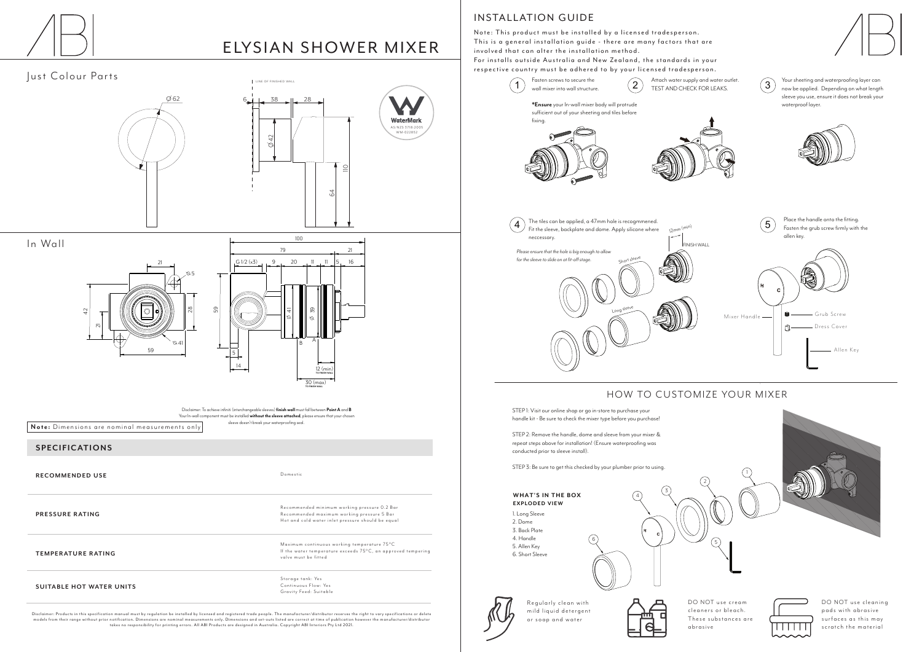

# ELYSIAN SHOWER MIXER

## Just Colour Parts

Disclaimer: Products in this specification manual must by regulation be installed by licensed and registered trade people. The manufacturer/distributor reserves the right to vary specifications or delete models from their range without prior notification. Dimensions are nominal measurements only. Dimensions and set-outs listed are correct at time of publication however the manufacturer/distributor takes no responsibility for printing errors. All ABI Products are designed in Australia. Copyright ABI Interiors Pty Ltd 2021.

Storage tank: Yes Continuous Flow: Yes Gravity Feed: Suitable

#### **SPECIFICATIONS**

**RECOMMENDED USE**

**PRESSURE RATING**

DO NOT use cream cleaners or bleach. These substances are abrasive



**TEMPERATURE RATING**

**SUITABLE HOT WATER UNITS**

DO NOT use cleaning pads with abrasive surfaces as this may scratch the material

**Note:** Dimensions are nominal measurements only

Domestic

Regularly clean with mild liquid detergent or soap and water



Maximum continuous working temperature 75°C If the water temperature exceeds  $75^{\circ}$ C, an approved tempering valve must be fitted

Recommended minimum working pressure 0.2 Bar Recommended maximum working pressure 5 Bar Hot and cold water inlet pressure should be equal

### INSTALLATION GUIDE

Note: This product must be installed by a licensed tradesperson. This is a general installation quide - there are many factors that are involved that can alter the installation method.

For installs outside Australia and New Zealand, the standards in your respective country must be adhered to by your licensed tradesperson.

> Your sheeting and waterproofing layer can now be applied. Depending on what length sleeve you use, ensure it does not break your





STEP 1: Visit our online shop or go in-store to purchase your handle kit - Be sure to check the mixer type before you purchase!

STEP 2: Remove the handle, dome and sleeve from your mixer & repeat steps above for installation! (Ensure waterproofing was conducted prior to sleeve install).

STEP 3: Be sure to get this checked by your plumber prior to using.



### HOW TO CUSTOMIZE YOUR MIXER

1. Long Sleeve 2. Dome 3. Back Plate 4. Handle 5. Allen Key **EXPLO DED VIEW WHAT'S IN THE BOX**

6. Short Sleeve



3

4





- 
- 







#### In Wall





Disclaimer: To achieve infiniti (interchangeable sleeves) **finish wall** must fall between **Point A** and **B** Your In-wall component must be installed **without the sleeve attached**, please ensure that your chosen sleeve doesn't break your waterproofing seal.